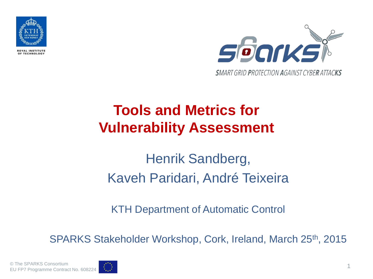

OF TECHNOLOGY



### **Tools and Metrics for Vulnerability Assessment**

### Henrik Sandberg, Kaveh Paridari, André Teixeira

KTH Department of Automatic Control

SPARKS Stakeholder Workshop, Cork, Ireland, March 25th, 2015

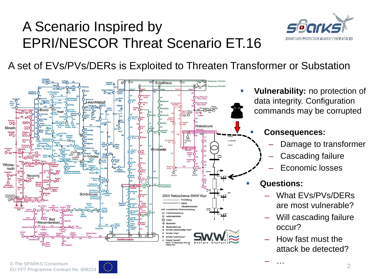#### A Scenario Inspired by EPRI/NESCOR Threat Scenario ET.16



A set of EVs/PVs/DERs is Exploited to Threaten Transformer or Substation



 **Vulnerability:** no protection of data integrity. Configuration commands may be corrupted

#### **Consequences:**

- Damage to transformer
- Cascading failure
- Economic losses

#### **Questions:**

- What EVs/PVs/DERs are most vulnerable?
- Will cascading failure occur?
- How fast must the attack be detected?

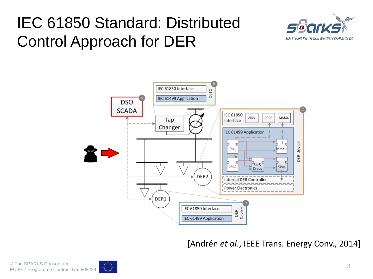# IEC 61850 Standard: Distributed Control Approach for DER





[Andrén *et al*., IEEE Trans. Energy Conv., 2014]

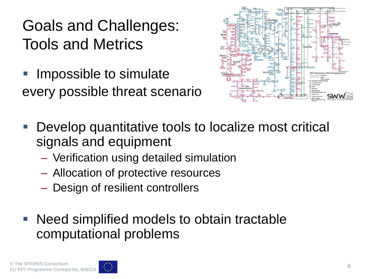# Goals and Challenges: Tools and Metrics

 Impossible to simulate every possible threat scenario



- Develop quantitative tools to localize most critical signals and equipment
	- Verification using detailed simulation
	- Allocation of protective resources
	- Design of resilient controllers
- Need simplified models to obtain tractable computational problems

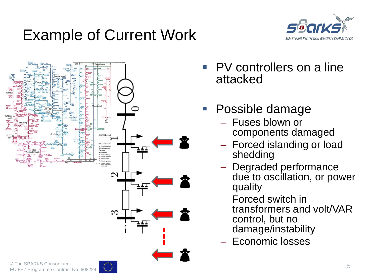# Example of Current Work





- PV controllers on a line attacked
- Possible damage
	- Fuses blown or components damaged
	- Forced islanding or load shedding
	- Degraded performance due to oscillation, or power quality
	- Forced switch in transformers and volt/VAR control, but no damage/instability
	- Economic losses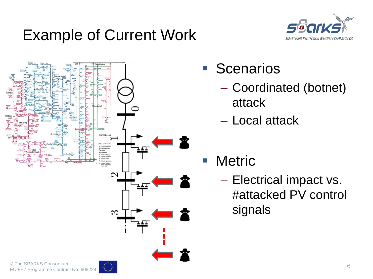## Example of Current Work





- **Scenarios** 
	- Coordinated (botnet) attack
	- Local attack
- **Netric** 
	- Electrical impact vs. #attacked PV control signals

6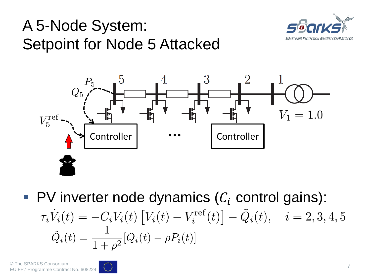# A 5-Node System: Setpoint for Node 5 Attacked





PV inverter node dynamics  $(C_i$  control gains):<br>  $\tau_i \dot{V}_i(t) = -C_i V_i(t) \left[ V_i(t) - V_i^{\text{ref}}(t) \right] - \tilde{Q}_i(t), \quad i = 2, 3, 4, 5$  $\tilde{Q}_i(t) = \frac{1}{1+\rho^2} [Q_i(t) - \rho P_i(t)]$ 

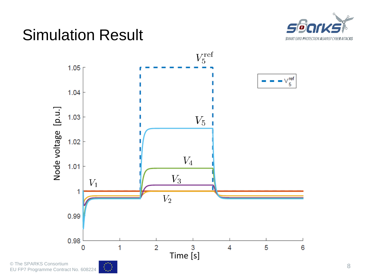

### Simulation Result

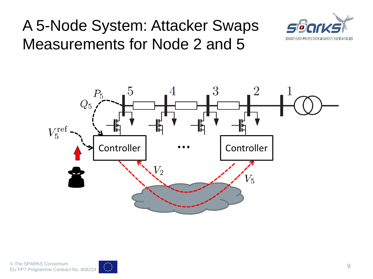# A 5-Node System: Attacker Swaps Measurements for Node 2 and 5





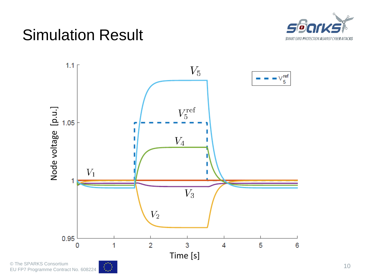### Simulation Result





 $\frac{1}{\lambda_{\text{max}}}$ 

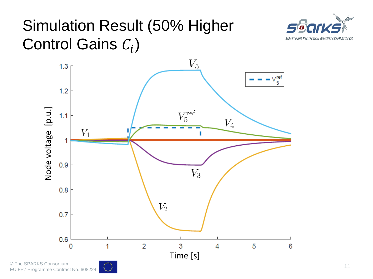## Simulation Result (50% Higher Control Gains  $C_i$ )



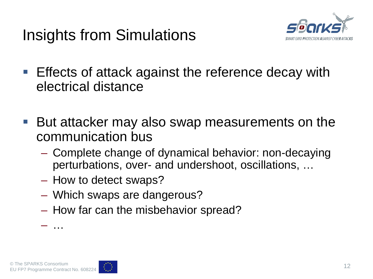Insights from Simulations



- **Effects of attack against the reference decay with** electrical distance
- But attacker may also swap measurements on the communication bus
	- Complete change of dynamical behavior: non-decaying perturbations, over- and undershoot, oscillations, …
	- How to detect swaps?
	- Which swaps are dangerous?
	- How far can the misbehavior spread?

– …

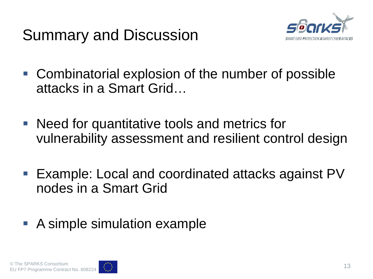



- Combinatorial explosion of the number of possible attacks in a Smart Grid…
- Need for quantitative tools and metrics for vulnerability assessment and resilient control design
- Example: Local and coordinated attacks against PV nodes in a Smart Grid

#### ■ A simple simulation example

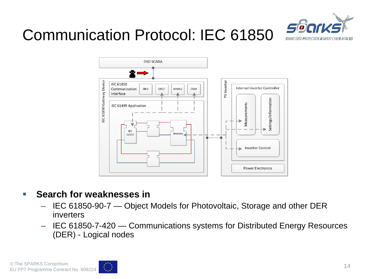

# Communication Protocol: IEC 61850



#### **Search for weaknesses in**

- IEC 61850-90-7 Object Models for Photovoltaic, Storage and other DER inverters
- IEC 61850-7-420 Communications systems for Distributed Energy Resources (DER) - Logical nodes